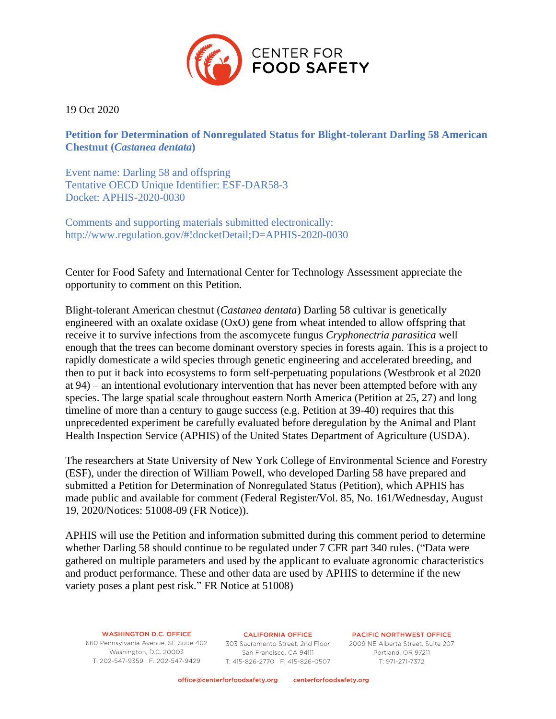

19 Oct 2020

**Petition for Determination of Nonregulated Status for Blight-tolerant Darling 58 American Chestnut (***Castanea dentata***)**

Event name: Darling 58 and offspring Tentative OECD Unique Identifier: ESF-DAR58-3 Docket: APHIS-2020-0030

Comments and supporting materials submitted electronically: http://www.regulation.gov/#!docketDetail;D=APHIS-2020-0030

Center for Food Safety and International Center for Technology Assessment appreciate the opportunity to comment on this Petition.

Blight-tolerant American chestnut (*Castanea dentata*) Darling 58 cultivar is genetically engineered with an oxalate oxidase (OxO) gene from wheat intended to allow offspring that receive it to survive infections from the ascomycete fungus *Cryphonectria parasitica* well enough that the trees can become dominant overstory species in forests again. This is a project to rapidly domesticate a wild species through genetic engineering and accelerated breeding, and then to put it back into ecosystems to form self-perpetuating populations (Westbrook et al 2020 at 94) – an intentional evolutionary intervention that has never been attempted before with any species. The large spatial scale throughout eastern North America (Petition at 25, 27) and long timeline of more than a century to gauge success (e.g. Petition at 39-40) requires that this unprecedented experiment be carefully evaluated before deregulation by the Animal and Plant Health Inspection Service (APHIS) of the United States Department of Agriculture (USDA).

The researchers at State University of New York College of Environmental Science and Forestry (ESF), under the direction of William Powell, who developed Darling 58 have prepared and submitted a Petition for Determination of Nonregulated Status (Petition), which APHIS has made public and available for comment (Federal Register/Vol. 85, No. 161/Wednesday, August 19, 2020/Notices: 51008-09 (FR Notice)).

APHIS will use the Petition and information submitted during this comment period to determine whether Darling 58 should continue to be regulated under 7 CFR part 340 rules. ("Data were gathered on multiple parameters and used by the applicant to evaluate agronomic characteristics and product performance. These and other data are used by APHIS to determine if the new variety poses a plant pest risk." FR Notice at 51008)

# **WASHINGTON D.C. OFFICE**

Washington, D.C. 20003 T: 202-547-9359 F: 202-547-9429

**CALIFORNIA OFFICE** 660 Pennsylvania Avenue, SE Suite 402 303 Sacramento Street, 2nd Floor 2009 NE Alberta Street, Suite 207 San Francisco, CA 94111 T: 415-826-2770 F: 415-826-0507

**PACIFIC NORTHWEST OFFICE** Portland, OR 97211 T: 971-271-7372

office@centerforfoodsafety.org centerforfoodsafety.org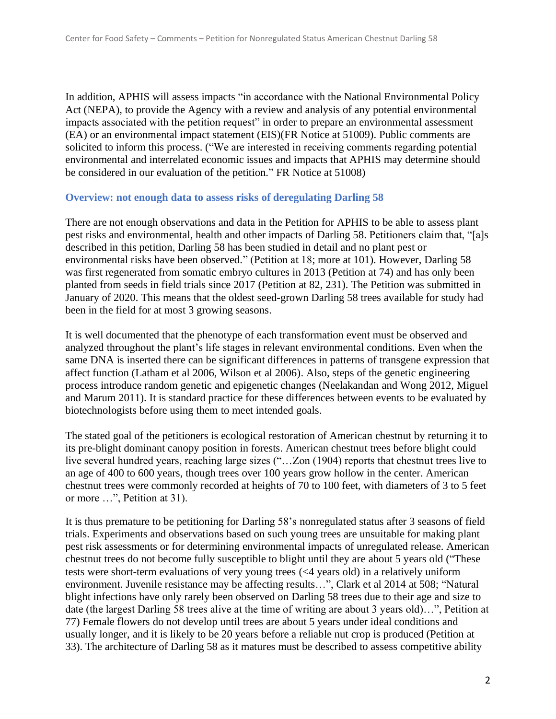In addition, APHIS will assess impacts "in accordance with the National Environmental Policy Act (NEPA), to provide the Agency with a review and analysis of any potential environmental impacts associated with the petition request" in order to prepare an environmental assessment (EA) or an environmental impact statement (EIS)(FR Notice at 51009). Public comments are solicited to inform this process. ("We are interested in receiving comments regarding potential environmental and interrelated economic issues and impacts that APHIS may determine should be considered in our evaluation of the petition." FR Notice at 51008)

#### **Overview: not enough data to assess risks of deregulating Darling 58**

There are not enough observations and data in the Petition for APHIS to be able to assess plant pest risks and environmental, health and other impacts of Darling 58. Petitioners claim that, "[a]s described in this petition, Darling 58 has been studied in detail and no plant pest or environmental risks have been observed." (Petition at 18; more at 101). However, Darling 58 was first regenerated from somatic embryo cultures in 2013 (Petition at 74) and has only been planted from seeds in field trials since 2017 (Petition at 82, 231). The Petition was submitted in January of 2020. This means that the oldest seed-grown Darling 58 trees available for study had been in the field for at most 3 growing seasons.

It is well documented that the phenotype of each transformation event must be observed and analyzed throughout the plant's life stages in relevant environmental conditions. Even when the same DNA is inserted there can be significant differences in patterns of transgene expression that affect function (Latham et al 2006, Wilson et al 2006). Also, steps of the genetic engineering process introduce random genetic and epigenetic changes (Neelakandan and Wong 2012, Miguel and Marum 2011). It is standard practice for these differences between events to be evaluated by biotechnologists before using them to meet intended goals.

The stated goal of the petitioners is ecological restoration of American chestnut by returning it to its pre-blight dominant canopy position in forests. American chestnut trees before blight could live several hundred years, reaching large sizes ("…Zon (1904) reports that chestnut trees live to an age of 400 to 600 years, though trees over 100 years grow hollow in the center. American chestnut trees were commonly recorded at heights of 70 to 100 feet, with diameters of 3 to 5 feet or more …", Petition at 31).

It is thus premature to be petitioning for Darling 58's nonregulated status after 3 seasons of field trials. Experiments and observations based on such young trees are unsuitable for making plant pest risk assessments or for determining environmental impacts of unregulated release. American chestnut trees do not become fully susceptible to blight until they are about 5 years old ("These tests were short-term evaluations of very young trees (<4 years old) in a relatively uniform environment. Juvenile resistance may be affecting results…", Clark et al 2014 at 508; "Natural blight infections have only rarely been observed on Darling 58 trees due to their age and size to date (the largest Darling 58 trees alive at the time of writing are about 3 years old)…", Petition at 77) Female flowers do not develop until trees are about 5 years under ideal conditions and usually longer, and it is likely to be 20 years before a reliable nut crop is produced (Petition at 33). The architecture of Darling 58 as it matures must be described to assess competitive ability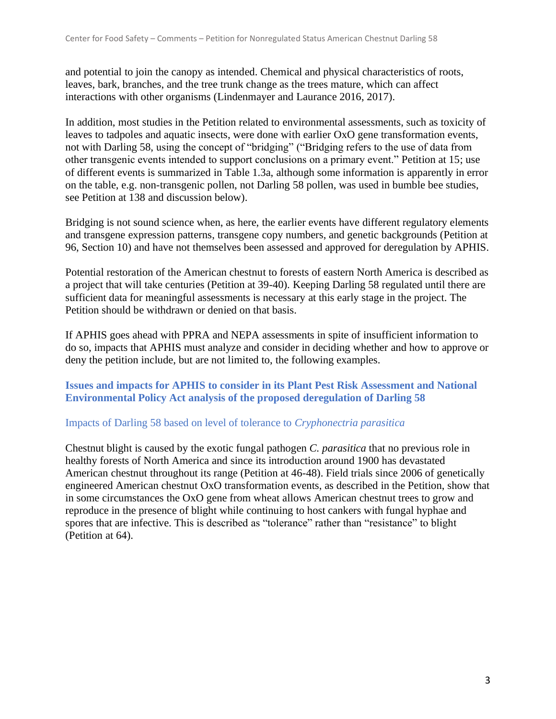and potential to join the canopy as intended. Chemical and physical characteristics of roots, leaves, bark, branches, and the tree trunk change as the trees mature, which can affect interactions with other organisms (Lindenmayer and Laurance 2016, 2017).

In addition, most studies in the Petition related to environmental assessments, such as toxicity of leaves to tadpoles and aquatic insects, were done with earlier OxO gene transformation events, not with Darling 58, using the concept of "bridging" ("Bridging refers to the use of data from other transgenic events intended to support conclusions on a primary event." Petition at 15; use of different events is summarized in Table 1.3a, although some information is apparently in error on the table, e.g. non-transgenic pollen, not Darling 58 pollen, was used in bumble bee studies, see Petition at 138 and discussion below).

Bridging is not sound science when, as here, the earlier events have different regulatory elements and transgene expression patterns, transgene copy numbers, and genetic backgrounds (Petition at 96, Section 10) and have not themselves been assessed and approved for deregulation by APHIS.

Potential restoration of the American chestnut to forests of eastern North America is described as a project that will take centuries (Petition at 39-40). Keeping Darling 58 regulated until there are sufficient data for meaningful assessments is necessary at this early stage in the project. The Petition should be withdrawn or denied on that basis.

If APHIS goes ahead with PPRA and NEPA assessments in spite of insufficient information to do so, impacts that APHIS must analyze and consider in deciding whether and how to approve or deny the petition include, but are not limited to, the following examples.

**Issues and impacts for APHIS to consider in its Plant Pest Risk Assessment and National Environmental Policy Act analysis of the proposed deregulation of Darling 58**

#### Impacts of Darling 58 based on level of tolerance to *Cryphonectria parasitica*

Chestnut blight is caused by the exotic fungal pathogen *C. parasitica* that no previous role in healthy forests of North America and since its introduction around 1900 has devastated American chestnut throughout its range (Petition at 46-48). Field trials since 2006 of genetically engineered American chestnut OxO transformation events, as described in the Petition, show that in some circumstances the OxO gene from wheat allows American chestnut trees to grow and reproduce in the presence of blight while continuing to host cankers with fungal hyphae and spores that are infective. This is described as "tolerance" rather than "resistance" to blight (Petition at 64).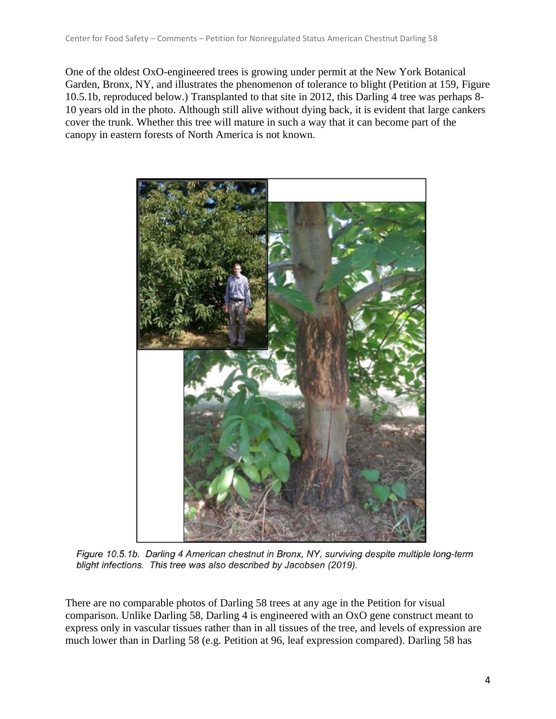One of the oldest OxO-engineered trees is growing under permit at the New York Botanical Garden, Bronx, NY, and illustrates the phenomenon of tolerance to blight (Petition at 159, Figure 10.5.1b, reproduced below.) Transplanted to that site in 2012, this Darling 4 tree was perhaps 8- 10 years old in the photo. Although still alive without dying back, it is evident that large cankers cover the trunk. Whether this tree will mature in such a way that it can become part of the canopy in eastern forests of North America is not known.



Figure 10.5.1b. Darling 4 American chestnut in Bronx, NY, surviving despite multiple long-term blight infections. This tree was also described by Jacobsen (2019).

There are no comparable photos of Darling 58 trees at any age in the Petition for visual comparison. Unlike Darling 58, Darling 4 is engineered with an OxO gene construct meant to express only in vascular tissues rather than in all tissues of the tree, and levels of expression are much lower than in Darling 58 (e.g. Petition at 96, leaf expression compared). Darling 58 has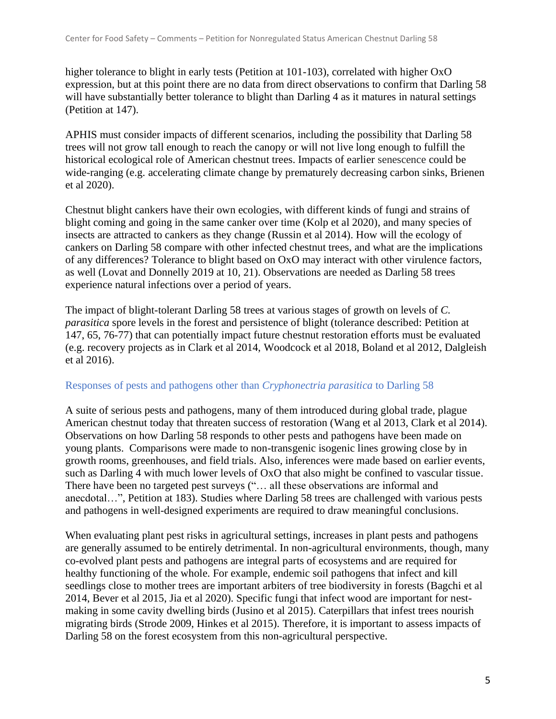higher tolerance to blight in early tests (Petition at 101-103), correlated with higher OxO expression, but at this point there are no data from direct observations to confirm that Darling 58 will have substantially better tolerance to blight than Darling 4 as it matures in natural settings (Petition at 147).

APHIS must consider impacts of different scenarios, including the possibility that Darling 58 trees will not grow tall enough to reach the canopy or will not live long enough to fulfill the historical ecological role of American chestnut trees. Impacts of earlier senescence could be wide-ranging (e.g. accelerating climate change by prematurely decreasing carbon sinks, Brienen et al 2020).

Chestnut blight cankers have their own ecologies, with different kinds of fungi and strains of blight coming and going in the same canker over time (Kolp et al 2020), and many species of insects are attracted to cankers as they change (Russin et al 2014). How will the ecology of cankers on Darling 58 compare with other infected chestnut trees, and what are the implications of any differences? Tolerance to blight based on OxO may interact with other virulence factors, as well (Lovat and Donnelly 2019 at 10, 21). Observations are needed as Darling 58 trees experience natural infections over a period of years.

The impact of blight-tolerant Darling 58 trees at various stages of growth on levels of *C. parasitica* spore levels in the forest and persistence of blight (tolerance described: Petition at 147, 65, 76-77) that can potentially impact future chestnut restoration efforts must be evaluated (e.g. recovery projects as in Clark et al 2014, Woodcock et al 2018, Boland et al 2012, Dalgleish et al 2016).

## Responses of pests and pathogens other than *Cryphonectria parasitica* to Darling 58

A suite of serious pests and pathogens, many of them introduced during global trade, plague American chestnut today that threaten success of restoration (Wang et al 2013, Clark et al 2014). Observations on how Darling 58 responds to other pests and pathogens have been made on young plants. Comparisons were made to non-transgenic isogenic lines growing close by in growth rooms, greenhouses, and field trials. Also, inferences were made based on earlier events, such as Darling 4 with much lower levels of OxO that also might be confined to vascular tissue. There have been no targeted pest surveys ("… all these observations are informal and anecdotal…", Petition at 183). Studies where Darling 58 trees are challenged with various pests and pathogens in well-designed experiments are required to draw meaningful conclusions.

When evaluating plant pest risks in agricultural settings, increases in plant pests and pathogens are generally assumed to be entirely detrimental. In non-agricultural environments, though, many co-evolved plant pests and pathogens are integral parts of ecosystems and are required for healthy functioning of the whole. For example, endemic soil pathogens that infect and kill seedlings close to mother trees are important arbiters of tree biodiversity in forests (Bagchi et al 2014, Bever et al 2015, Jia et al 2020). Specific fungi that infect wood are important for nestmaking in some cavity dwelling birds (Jusino et al 2015). Caterpillars that infest trees nourish migrating birds (Strode 2009, Hinkes et al 2015). Therefore, it is important to assess impacts of Darling 58 on the forest ecosystem from this non-agricultural perspective.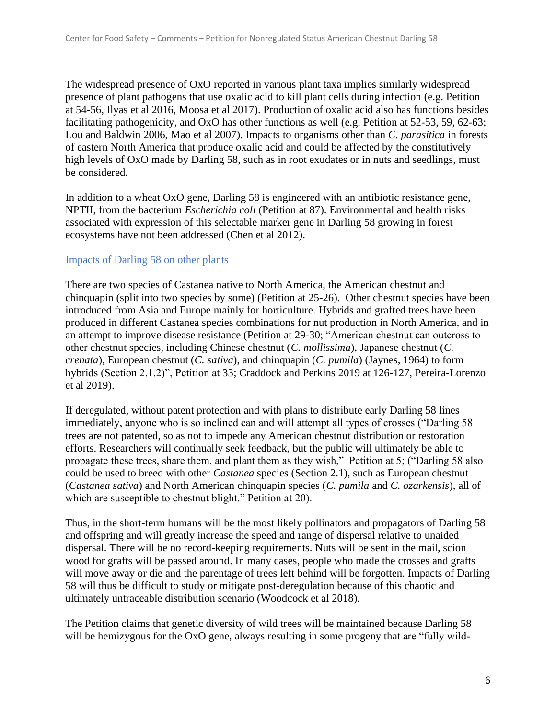The widespread presence of OxO reported in various plant taxa implies similarly widespread presence of plant pathogens that use oxalic acid to kill plant cells during infection (e.g. Petition at 54-56, Ilyas et al 2016, Moosa et al 2017). Production of oxalic acid also has functions besides facilitating pathogenicity, and OxO has other functions as well (e.g. Petition at 52-53, 59, 62-63; Lou and Baldwin 2006, Mao et al 2007). Impacts to organisms other than *C. parasitica* in forests of eastern North America that produce oxalic acid and could be affected by the constitutively high levels of OxO made by Darling 58, such as in root exudates or in nuts and seedlings, must be considered.

In addition to a wheat OxO gene, Darling 58 is engineered with an antibiotic resistance gene, NPTII, from the bacterium *Escherichia coli* (Petition at 87). Environmental and health risks associated with expression of this selectable marker gene in Darling 58 growing in forest ecosystems have not been addressed (Chen et al 2012).

#### Impacts of Darling 58 on other plants

There are two species of Castanea native to North America, the American chestnut and chinquapin (split into two species by some) (Petition at 25-26). Other chestnut species have been introduced from Asia and Europe mainly for horticulture. Hybrids and grafted trees have been produced in different Castanea species combinations for nut production in North America, and in an attempt to improve disease resistance (Petition at 29-30; "American chestnut can outcross to other chestnut species, including Chinese chestnut (*C. mollissima*), Japanese chestnut (*C. crenata*), European chestnut (*C. sativa*), and chinquapin (*C. pumila*) (Jaynes, 1964) to form hybrids (Section 2.1.2)", Petition at 33; Craddock and Perkins 2019 at 126-127, Pereira-Lorenzo et al 2019).

If deregulated, without patent protection and with plans to distribute early Darling 58 lines immediately, anyone who is so inclined can and will attempt all types of crosses ("Darling 58 trees are not patented, so as not to impede any American chestnut distribution or restoration efforts. Researchers will continually seek feedback, but the public will ultimately be able to propagate these trees, share them, and plant them as they wish," Petition at 5; ("Darling 58 also could be used to breed with other *Castanea* species (Section 2.1), such as European chestnut (*Castanea sativa*) and North American chinquapin species (*C. pumila* and *C. ozarkensis*), all of which are susceptible to chestnut blight." Petition at 20).

Thus, in the short-term humans will be the most likely pollinators and propagators of Darling 58 and offspring and will greatly increase the speed and range of dispersal relative to unaided dispersal. There will be no record-keeping requirements. Nuts will be sent in the mail, scion wood for grafts will be passed around. In many cases, people who made the crosses and grafts will move away or die and the parentage of trees left behind will be forgotten. Impacts of Darling 58 will thus be difficult to study or mitigate post-deregulation because of this chaotic and ultimately untraceable distribution scenario (Woodcock et al 2018).

The Petition claims that genetic diversity of wild trees will be maintained because Darling 58 will be hemizygous for the OxO gene, always resulting in some progeny that are "fully wild-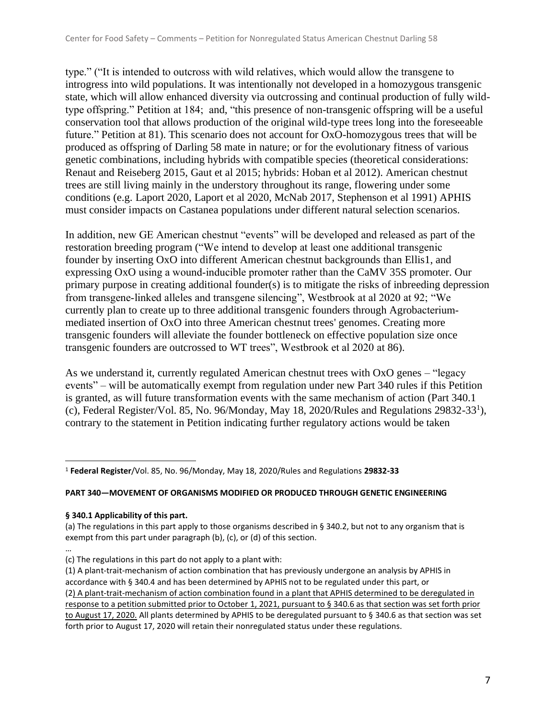type." ("It is intended to outcross with wild relatives, which would allow the transgene to introgress into wild populations. It was intentionally not developed in a homozygous transgenic state, which will allow enhanced diversity via outcrossing and continual production of fully wildtype offspring." Petition at 184; and, "this presence of non-transgenic offspring will be a useful conservation tool that allows production of the original wild-type trees long into the foreseeable future." Petition at 81). This scenario does not account for OxO-homozygous trees that will be produced as offspring of Darling 58 mate in nature; or for the evolutionary fitness of various genetic combinations, including hybrids with compatible species (theoretical considerations: Renaut and Reiseberg 2015, Gaut et al 2015; hybrids: Hoban et al 2012). American chestnut trees are still living mainly in the understory throughout its range, flowering under some conditions (e.g. Laport 2020, Laport et al 2020, McNab 2017, Stephenson et al 1991) APHIS must consider impacts on Castanea populations under different natural selection scenarios.

In addition, new GE American chestnut "events" will be developed and released as part of the restoration breeding program ("We intend to develop at least one additional transgenic founder by inserting OxO into different American chestnut backgrounds than Ellis1, and expressing OxO using a wound‐inducible promoter rather than the CaMV 35S promoter. Our primary purpose in creating additional founder(s) is to mitigate the risks of inbreeding depression from transgene‐linked alleles and transgene silencing", Westbrook at al 2020 at 92; "We currently plan to create up to three additional transgenic founders through Agrobacterium‐ mediated insertion of OxO into three American chestnut trees' genomes. Creating more transgenic founders will alleviate the founder bottleneck on effective population size once transgenic founders are outcrossed to WT trees", Westbrook et al 2020 at 86).

As we understand it, currently regulated American chestnut trees with OxO genes – "legacy events" – will be automatically exempt from regulation under new Part 340 rules if this Petition is granted, as will future transformation events with the same mechanism of action (Part 340.1 (c), Federal Register/Vol. 85, No. 96/Monday, May 18, 2020/Rules and Regulations 29832-33<sup>1</sup> ), contrary to the statement in Petition indicating further regulatory actions would be taken

#### **PART 340—MOVEMENT OF ORGANISMS MODIFIED OR PRODUCED THROUGH GENETIC ENGINEERING**

#### **§ 340.1 Applicability of this part.**

(a) The regulations in this part apply to those organisms described in § 340.2, but not to any organism that is exempt from this part under paragraph (b), (c), or (d) of this section.

<sup>1</sup> **Federal Register**/Vol. 85, No. 96/Monday, May 18, 2020/Rules and Regulations **29832-33** 

<sup>…</sup> (c) The regulations in this part do not apply to a plant with:

<sup>(1)</sup> A plant-trait-mechanism of action combination that has previously undergone an analysis by APHIS in accordance with § 340.4 and has been determined by APHIS not to be regulated under this part, or (2) A plant-trait-mechanism of action combination found in a plant that APHIS determined to be deregulated in response to a petition submitted prior to October 1, 2021, pursuant to § 340.6 as that section was set forth prior to August 17, 2020. All plants determined by APHIS to be deregulated pursuant to § 340.6 as that section was set forth prior to August 17, 2020 will retain their nonregulated status under these regulations.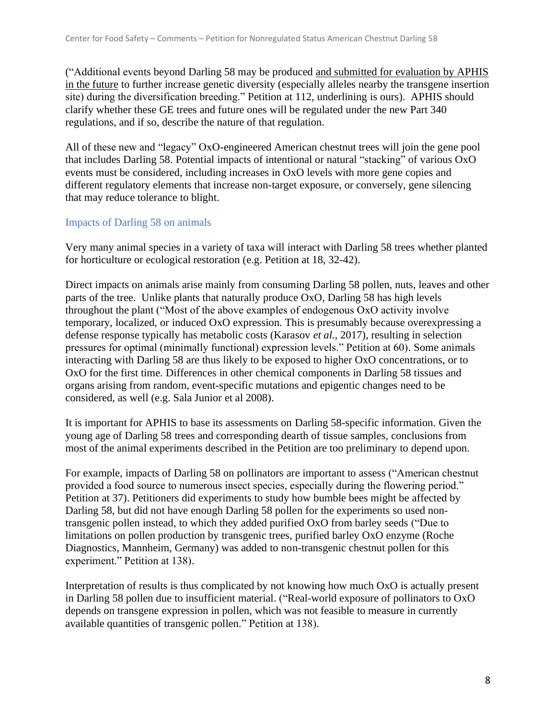("Additional events beyond Darling 58 may be produced and submitted for evaluation by APHIS in the future to further increase genetic diversity (especially alleles nearby the transgene insertion site) during the diversification breeding." Petition at 112, underlining is ours). APHIS should clarify whether these GE trees and future ones will be regulated under the new Part 340 regulations, and if so, describe the nature of that regulation.

All of these new and "legacy" OxO-engineered American chestnut trees will join the gene pool that includes Darling 58. Potential impacts of intentional or natural "stacking" of various OxO events must be considered, including increases in OxO levels with more gene copies and different regulatory elements that increase non-target exposure, or conversely, gene silencing that may reduce tolerance to blight.

# Impacts of Darling 58 on animals

Very many animal species in a variety of taxa will interact with Darling 58 trees whether planted for horticulture or ecological restoration (e.g. Petition at 18, 32-42).

Direct impacts on animals arise mainly from consuming Darling 58 pollen, nuts, leaves and other parts of the tree. Unlike plants that naturally produce  $OxO$ , Darling 58 has high levels throughout the plant ("Most of the above examples of endogenous OxO activity involve temporary, localized, or induced OxO expression. This is presumably because overexpressing a defense response typically has metabolic costs (Karasov *et al.*, 2017), resulting in selection pressures for optimal (minimally functional) expression levels." Petition at 60). Some animals interacting with Darling 58 are thus likely to be exposed to higher OxO concentrations, or to OxO for the first time. Differences in other chemical components in Darling 58 tissues and organs arising from random, event-specific mutations and epigentic changes need to be considered, as well (e.g. Sala Junior et al 2008).

It is important for APHIS to base its assessments on Darling 58-specific information. Given the young age of Darling 58 trees and corresponding dearth of tissue samples, conclusions from most of the animal experiments described in the Petition are too preliminary to depend upon.

For example, impacts of Darling 58 on pollinators are important to assess ("American chestnut provided a food source to numerous insect species, especially during the flowering period." Petition at 37). Petitioners did experiments to study how bumble bees might be affected by Darling 58, but did not have enough Darling 58 pollen for the experiments so used nontransgenic pollen instead, to which they added purified OxO from barley seeds ("Due to limitations on pollen production by transgenic trees, purified barley OxO enzyme (Roche Diagnostics, Mannheim, Germany) was added to non-transgenic chestnut pollen for this experiment." Petition at 138).

Interpretation of results is thus complicated by not knowing how much OxO is actually present in Darling 58 pollen due to insufficient material. ("Real-world exposure of pollinators to OxO depends on transgene expression in pollen, which was not feasible to measure in currently available quantities of transgenic pollen." Petition at 138).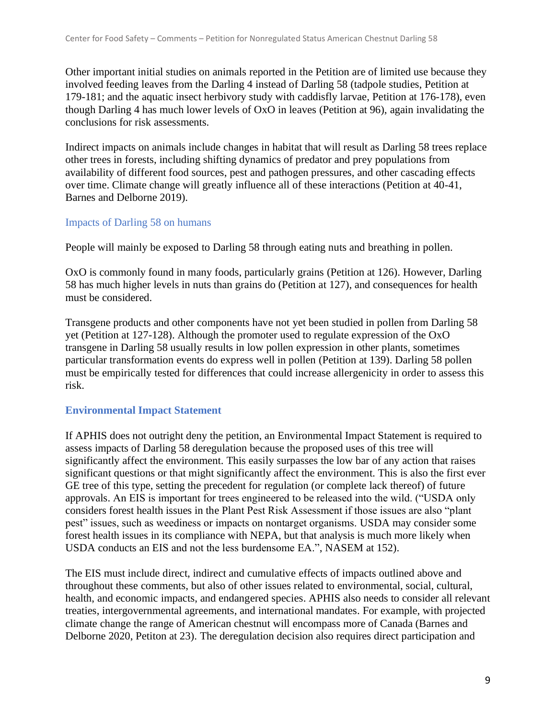Other important initial studies on animals reported in the Petition are of limited use because they involved feeding leaves from the Darling 4 instead of Darling 58 (tadpole studies, Petition at 179-181; and the aquatic insect herbivory study with caddisfly larvae, Petition at 176-178), even though Darling 4 has much lower levels of OxO in leaves (Petition at 96), again invalidating the conclusions for risk assessments.

Indirect impacts on animals include changes in habitat that will result as Darling 58 trees replace other trees in forests, including shifting dynamics of predator and prey populations from availability of different food sources, pest and pathogen pressures, and other cascading effects over time. Climate change will greatly influence all of these interactions (Petition at 40-41, Barnes and Delborne 2019).

# Impacts of Darling 58 on humans

People will mainly be exposed to Darling 58 through eating nuts and breathing in pollen.

OxO is commonly found in many foods, particularly grains (Petition at 126). However, Darling 58 has much higher levels in nuts than grains do (Petition at 127), and consequences for health must be considered.

Transgene products and other components have not yet been studied in pollen from Darling 58 yet (Petition at 127-128). Although the promoter used to regulate expression of the OxO transgene in Darling 58 usually results in low pollen expression in other plants, sometimes particular transformation events do express well in pollen (Petition at 139). Darling 58 pollen must be empirically tested for differences that could increase allergenicity in order to assess this risk.

## **Environmental Impact Statement**

If APHIS does not outright deny the petition, an Environmental Impact Statement is required to assess impacts of Darling 58 deregulation because the proposed uses of this tree will significantly affect the environment. This easily surpasses the low bar of any action that raises significant questions or that might significantly affect the environment. This is also the first ever GE tree of this type, setting the precedent for regulation (or complete lack thereof) of future approvals. An EIS is important for trees engineered to be released into the wild. ("USDA only considers forest health issues in the Plant Pest Risk Assessment if those issues are also "plant pest" issues, such as weediness or impacts on nontarget organisms. USDA may consider some forest health issues in its compliance with NEPA, but that analysis is much more likely when USDA conducts an EIS and not the less burdensome EA.", NASEM at 152).

The EIS must include direct, indirect and cumulative effects of impacts outlined above and throughout these comments, but also of other issues related to environmental, social, cultural, health, and economic impacts, and endangered species. APHIS also needs to consider all relevant treaties, intergovernmental agreements, and international mandates. For example, with projected climate change the range of American chestnut will encompass more of Canada (Barnes and Delborne 2020, Petiton at 23). The deregulation decision also requires direct participation and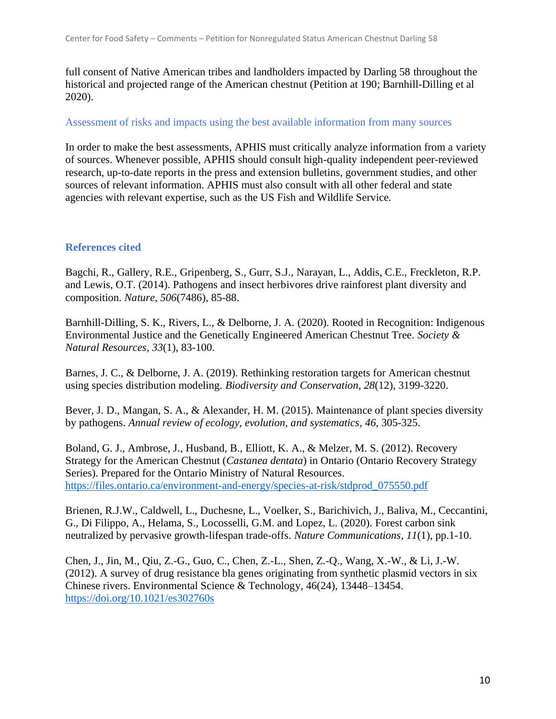full consent of Native American tribes and landholders impacted by Darling 58 throughout the historical and projected range of the American chestnut (Petition at 190; Barnhill-Dilling et al 2020).

#### Assessment of risks and impacts using the best available information from many sources

In order to make the best assessments, APHIS must critically analyze information from a variety of sources. Whenever possible, APHIS should consult high-quality independent peer-reviewed research, up-to-date reports in the press and extension bulletins, government studies, and other sources of relevant information. APHIS must also consult with all other federal and state agencies with relevant expertise, such as the US Fish and Wildlife Service.

### **References cited**

Bagchi, R., Gallery, R.E., Gripenberg, S., Gurr, S.J., Narayan, L., Addis, C.E., Freckleton, R.P. and Lewis, O.T. (2014). Pathogens and insect herbivores drive rainforest plant diversity and composition. *Nature*, *506*(7486), 85-88.

Barnhill-Dilling, S. K., Rivers, L., & Delborne, J. A. (2020). Rooted in Recognition: Indigenous Environmental Justice and the Genetically Engineered American Chestnut Tree. *Society & Natural Resources*, *33*(1), 83-100.

Barnes, J. C., & Delborne, J. A. (2019). Rethinking restoration targets for American chestnut using species distribution modeling. *Biodiversity and Conservation*, *28*(12), 3199-3220.

Bever, J. D., Mangan, S. A., & Alexander, H. M. (2015). Maintenance of plant species diversity by pathogens. *Annual review of ecology, evolution, and systematics*, *46*, 305-325.

Boland, G. J., Ambrose, J., Husband, B., Elliott, K. A., & Melzer, M. S. (2012). Recovery Strategy for the American Chestnut (*Castanea dentata*) in Ontario (Ontario Recovery Strategy Series). Prepared for the Ontario Ministry of Natural Resources. [https://files.ontario.ca/environment-and-energy/species-at-risk/stdprod\\_075550.pdf](https://files.ontario.ca/environment-and-energy/species-at-risk/stdprod_075550.pdf)

Brienen, R.J.W., Caldwell, L., Duchesne, L., Voelker, S., Barichivich, J., Baliva, M., Ceccantini, G., Di Filippo, A., Helama, S., Locosselli, G.M. and Lopez, L. (2020). Forest carbon sink neutralized by pervasive growth-lifespan trade-offs. *Nature Communications*, *11*(1), pp.1-10.

Chen, J., Jin, M., Qiu, Z.-G., Guo, C., Chen, Z.-L., Shen, Z.-Q., Wang, X.-W., & Li, J.-W. (2012). A survey of drug resistance bla genes originating from synthetic plasmid vectors in six Chinese rivers. Environmental Science & Technology, 46(24), 13448–13454. <https://doi.org/10.1021/es302760s>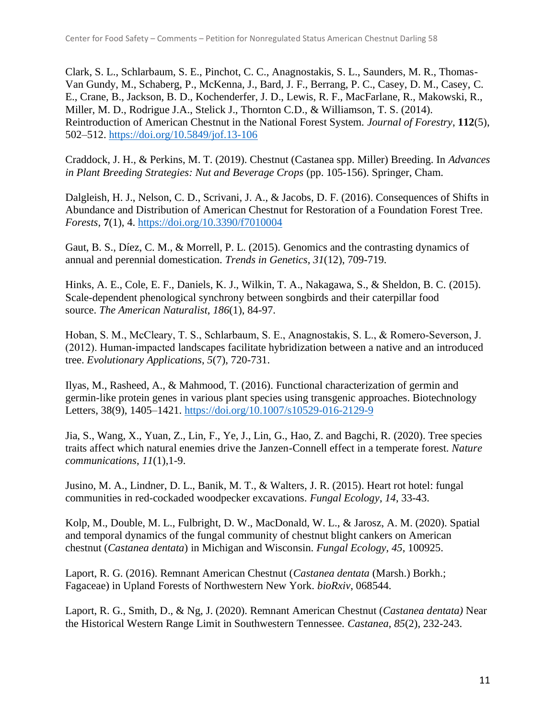Clark, S. L., Schlarbaum, S. E., Pinchot, C. C., Anagnostakis, S. L., Saunders, M. R., Thomas-Van Gundy, M., Schaberg, P., McKenna, J., Bard, J. F., Berrang, P. C., Casey, D. M., Casey, C. E., Crane, B., Jackson, B. D., Kochenderfer, J. D., Lewis, R. F., MacFarlane, R., Makowski, R., Miller, M. D., Rodrigue J.A., Stelick J., Thornton C.D., & Williamson, T. S. (2014). Reintroduction of American Chestnut in the National Forest System. *Journal of Forestry*, **112**(5), 502–512.<https://doi.org/10.5849/jof.13-106>

Craddock, J. H., & Perkins, M. T. (2019). Chestnut (Castanea spp. Miller) Breeding. In *Advances in Plant Breeding Strategies: Nut and Beverage Crops* (pp. 105-156). Springer, Cham.

Dalgleish, H. J., Nelson, C. D., Scrivani, J. A., & Jacobs, D. F. (2016). Consequences of Shifts in Abundance and Distribution of American Chestnut for Restoration of a Foundation Forest Tree. *Forests*, **7**(1), 4.<https://doi.org/10.3390/f7010004>

Gaut, B. S., Díez, C. M., & Morrell, P. L. (2015). Genomics and the contrasting dynamics of annual and perennial domestication. *Trends in Genetics*, *31*(12), 709-719.

Hinks, A. E., Cole, E. F., Daniels, K. J., Wilkin, T. A., Nakagawa, S., & Sheldon, B. C. (2015). Scale-dependent phenological synchrony between songbirds and their caterpillar food source. *The American Naturalist*, *186*(1), 84-97.

Hoban, S. M., McCleary, T. S., Schlarbaum, S. E., Anagnostakis, S. L., & Romero‐Severson, J. (2012). Human‐impacted landscapes facilitate hybridization between a native and an introduced tree. *Evolutionary Applications*, *5*(7), 720-731.

Ilyas, M., Rasheed, A., & Mahmood, T. (2016). Functional characterization of germin and germin-like protein genes in various plant species using transgenic approaches. Biotechnology Letters, 38(9), 1405–1421.<https://doi.org/10.1007/s10529-016-2129-9>

Jia, S., Wang, X., Yuan, Z., Lin, F., Ye, J., Lin, G., Hao, Z. and Bagchi, R. (2020). Tree species traits affect which natural enemies drive the Janzen-Connell effect in a temperate forest. *Nature communications*, *11*(1),1-9.

Jusino, M. A., Lindner, D. L., Banik, M. T., & Walters, J. R. (2015). Heart rot hotel: fungal communities in red-cockaded woodpecker excavations. *Fungal Ecology*, *14*, 33-43.

Kolp, M., Double, M. L., Fulbright, D. W., MacDonald, W. L., & Jarosz, A. M. (2020). Spatial and temporal dynamics of the fungal community of chestnut blight cankers on American chestnut (*Castanea dentata*) in Michigan and Wisconsin. *Fungal Ecology*, *45*, 100925.

Laport, R. G. (2016). Remnant American Chestnut (*Castanea dentata* (Marsh.) Borkh.; Fagaceae) in Upland Forests of Northwestern New York. *bioRxiv*, 068544.

Laport, R. G., Smith, D., & Ng, J. (2020). Remnant American Chestnut (*Castanea dentata)* Near the Historical Western Range Limit in Southwestern Tennessee. *Castanea*, *85*(2), 232-243.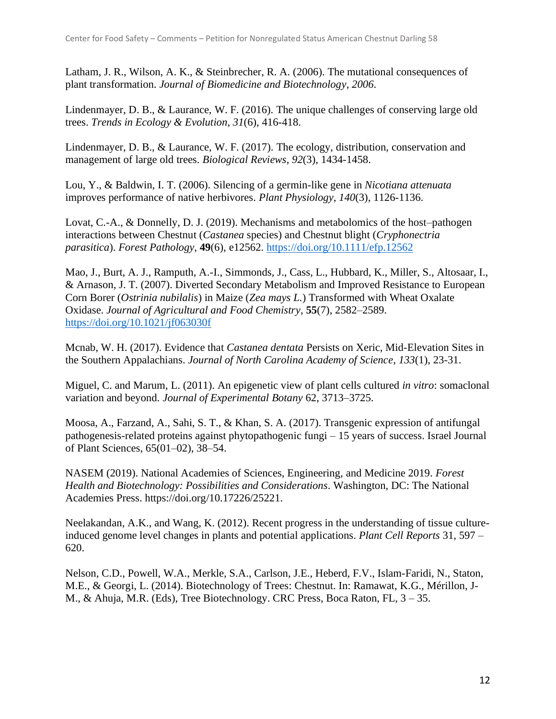Latham, J. R., Wilson, A. K., & Steinbrecher, R. A. (2006). The mutational consequences of plant transformation. *Journal of Biomedicine and Biotechnology*, *2006*.

Lindenmayer, D. B., & Laurance, W. F. (2016). The unique challenges of conserving large old trees. *Trends in Ecology & Evolution*, *31*(6), 416-418.

Lindenmayer, D. B., & Laurance, W. F. (2017). The ecology, distribution, conservation and management of large old trees. *Biological Reviews*, *92*(3), 1434-1458.

Lou, Y., & Baldwin, I. T. (2006). Silencing of a germin-like gene in *Nicotiana attenuata* improves performance of native herbivores. *Plant Physiology*, *140*(3), 1126-1136.

Lovat, C.-A., & Donnelly, D. J. (2019). Mechanisms and metabolomics of the host–pathogen interactions between Chestnut (*Castanea* species) and Chestnut blight (*Cryphonectria parasitica*). *Forest Pathology*, **49**(6), e12562.<https://doi.org/10.1111/efp.12562>

Mao, J., Burt, A. J., Ramputh, A.-I., Simmonds, J., Cass, L., Hubbard, K., Miller, S., Altosaar, I., & Arnason, J. T. (2007). Diverted Secondary Metabolism and Improved Resistance to European Corn Borer (*Ostrinia nubilalis*) in Maize (*Zea mays L.*) Transformed with Wheat Oxalate Oxidase. *Journal of Agricultural and Food Chemistry*, **55**(7), 2582–2589. <https://doi.org/10.1021/jf063030f>

Mcnab, W. H. (2017). Evidence that *Castanea dentata* Persists on Xeric, Mid-Elevation Sites in the Southern Appalachians. *Journal of North Carolina Academy of Science*, *133*(1), 23-31.

Miguel, C. and Marum, L. (2011). An epigenetic view of plant cells cultured *in vitro*: somaclonal variation and beyond. *Journal of Experimental Botany* 62, 3713–3725.

Moosa, A., Farzand, A., Sahi, S. T., & Khan, S. A. (2017). Transgenic expression of antifungal pathogenesis-related proteins against phytopathogenic fungi – 15 years of success. Israel Journal of Plant Sciences, 65(01–02), 38–54.

NASEM (2019). National Academies of Sciences, Engineering, and Medicine 2019. *Forest Health and Biotechnology: Possibilities and Considerations*. Washington, DC: The National Academies Press. https://doi.org/10.17226/25221.

Neelakandan, A.K., and Wang, K. (2012). Recent progress in the understanding of tissue cultureinduced genome level changes in plants and potential applications. *Plant Cell Reports* 31, 597 – 620.

Nelson, C.D., Powell, W.A., Merkle, S.A., Carlson, J.E., Heberd, F.V., Islam-Faridi, N., Staton, M.E., & Georgi, L. (2014). Biotechnology of Trees: Chestnut. In: Ramawat, K.G., Mérillon, J-M., & Ahuja, M.R. (Eds), Tree Biotechnology. CRC Press, Boca Raton, FL, 3 – 35.